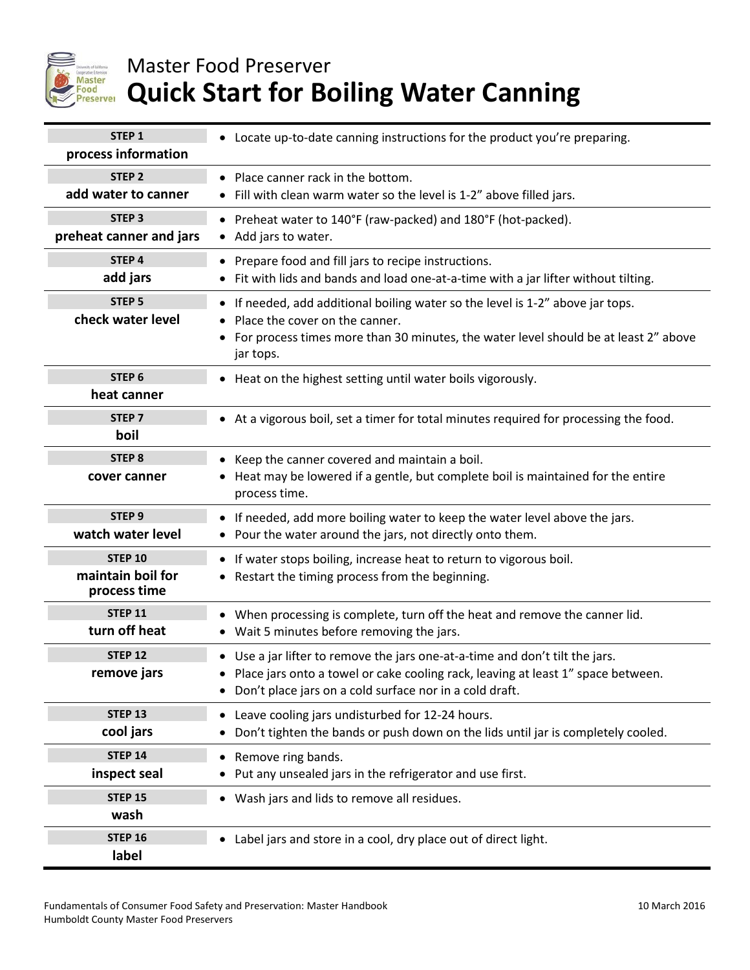

## Master Food Preserver **Quick Start for Boiling Water Canning**

| STEP <sub>1</sub><br>process information     | • Locate up-to-date canning instructions for the product you're preparing.                                                                                                                                                  |
|----------------------------------------------|-----------------------------------------------------------------------------------------------------------------------------------------------------------------------------------------------------------------------------|
| STEP <sub>2</sub>                            | Place canner rack in the bottom.                                                                                                                                                                                            |
| add water to canner                          | • Fill with clean warm water so the level is 1-2" above filled jars.                                                                                                                                                        |
| STEP <sub>3</sub><br>preheat canner and jars | Preheat water to 140°F (raw-packed) and 180°F (hot-packed).<br>Add jars to water.<br>$\bullet$                                                                                                                              |
| STEP 4                                       | Prepare food and fill jars to recipe instructions.                                                                                                                                                                          |
| add jars                                     | • Fit with lids and bands and load one-at-a-time with a jar lifter without tilting.                                                                                                                                         |
| STEP <sub>5</sub><br>check water level       | If needed, add additional boiling water so the level is 1-2" above jar tops.<br>Place the cover on the canner.<br>For process times more than 30 minutes, the water level should be at least 2" above<br>jar tops.          |
| STEP <sub>6</sub>                            | Heat on the highest setting until water boils vigorously.                                                                                                                                                                   |
| heat canner                                  | $\bullet$                                                                                                                                                                                                                   |
| STEP <sub>7</sub><br>boil                    | At a vigorous boil, set a timer for total minutes required for processing the food.                                                                                                                                         |
| STEP <sub>8</sub><br>cover canner            | Keep the canner covered and maintain a boil.<br>$\bullet$<br>Heat may be lowered if a gentle, but complete boil is maintained for the entire<br>process time.                                                               |
| STEP <sub>9</sub>                            | • If needed, add more boiling water to keep the water level above the jars.                                                                                                                                                 |
| watch water level                            | • Pour the water around the jars, not directly onto them.                                                                                                                                                                   |
| <b>STEP 10</b>                               | • If water stops boiling, increase heat to return to vigorous boil.                                                                                                                                                         |
| maintain boil for                            | Restart the timing process from the beginning.                                                                                                                                                                              |
| process time                                 | ٠                                                                                                                                                                                                                           |
| <b>STEP 11</b>                               | When processing is complete, turn off the heat and remove the canner lid.                                                                                                                                                   |
| turn off heat                                | • Wait 5 minutes before removing the jars.                                                                                                                                                                                  |
| <b>STEP 12</b><br>remove jars                | • Use a jar lifter to remove the jars one-at-a-time and don't tilt the jars.<br>Place jars onto a towel or cake cooling rack, leaving at least 1" space between.<br>Don't place jars on a cold surface nor in a cold draft. |
| <b>STEP 13</b>                               | Leave cooling jars undisturbed for 12-24 hours.                                                                                                                                                                             |
| cool jars                                    | Don't tighten the bands or push down on the lids until jar is completely cooled.                                                                                                                                            |
| <b>STEP 14</b>                               | Remove ring bands.                                                                                                                                                                                                          |
| inspect seal                                 | Put any unsealed jars in the refrigerator and use first.                                                                                                                                                                    |
| <b>STEP 15</b><br>wash                       | Wash jars and lids to remove all residues.                                                                                                                                                                                  |
| <b>STEP 16</b><br>label                      | Label jars and store in a cool, dry place out of direct light.                                                                                                                                                              |